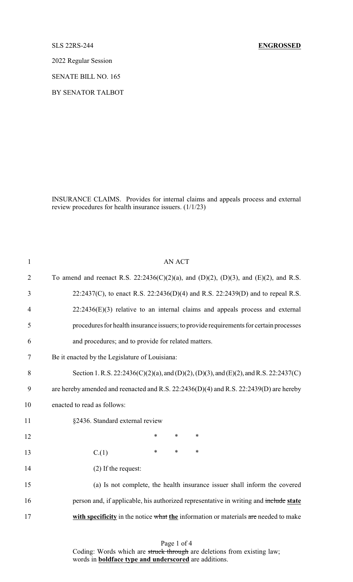2022 Regular Session

SENATE BILL NO. 165

BY SENATOR TALBOT

INSURANCE CLAIMS. Provides for internal claims and appeals process and external review procedures for health insurance issuers. (1/1/23)

| $\mathbf{1}$   | <b>AN ACT</b>                                                                          |
|----------------|----------------------------------------------------------------------------------------|
| $\overline{2}$ | To amend and reenact R.S. 22:2436(C)(2)(a), and (D)(2), (D)(3), and (E)(2), and R.S.   |
| 3              | 22:2437(C), to enact R.S. 22:2436(D)(4) and R.S. 22:2439(D) and to repeal R.S.         |
| $\overline{4}$ | $22:2436(E)(3)$ relative to an internal claims and appeals process and external        |
| 5              | procedures for health insurance issuers; to provide requirements for certain processes |
| 6              | and procedures; and to provide for related matters.                                    |
| 7              | Be it enacted by the Legislature of Louisiana:                                         |
| 8              | Section 1. R.S. 22:2436(C)(2)(a), and (D)(2), (D)(3), and (E)(2), and R.S. 22:2437(C)  |
| 9              | are hereby amended and reenacted and R.S. 22:2436(D)(4) and R.S. 22:2439(D) are hereby |
| 10             | enacted to read as follows:                                                            |
| 11             | §2436. Standard external review                                                        |
| 12             | $\ast$<br>∗<br>∗                                                                       |
| 13             | $\ast$<br>$\ast$<br>$\ast$<br>C.(1)                                                    |
| 14             | (2) If the request:                                                                    |
| 15             | (a) Is not complete, the health insurance issuer shall inform the covered              |
| 16             | person and, if applicable, his authorized representative in writing and include state  |
| 17             | with specificity in the notice what the information or materials are needed to make    |
|                |                                                                                        |

Page 1 of 4 Coding: Words which are struck through are deletions from existing law; words in **boldface type and underscored** are additions.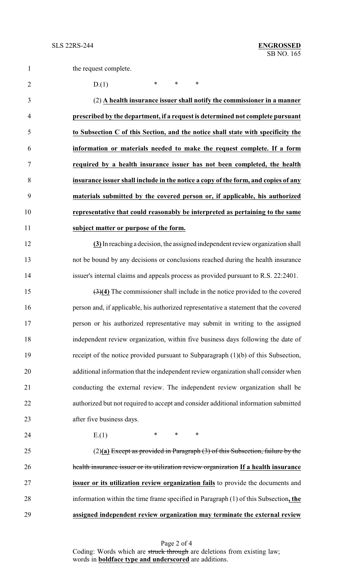2 D.(1) \* \* \*

 (2) **A health insurance issuer shall notify the commissioner in a manner prescribed by the department, if a request is determined not complete pursuant to Subsection C of this Section, and the notice shall state with specificity the information or materials needed to make the request complete. If a form required by a health insurance issuer has not been completed, the health insurance issuer shall include in the notice a copy of the form, and copies of any materials submitted by the covered person or, if applicable, his authorized representative that could reasonably be interpreted as pertaining to the same subject matter or purpose of the form.**

 **(3)**In reachinga decision, the assigned independent review organization shall not be bound by any decisions or conclusions reached during the health insurance issuer's internal claims and appeals process as provided pursuant to R.S. 22:2401.

 (3)**(4)** The commissioner shall include in the notice provided to the covered person and, if applicable, his authorized representative a statement that the covered person or his authorized representative may submit in writing to the assigned independent review organization, within five business days following the date of receipt of the notice provided pursuant to Subparagraph (1)(b) of this Subsection, additional information that the independent review organization shall consider when conducting the external review. The independent review organization shall be authorized but not required to accept and consider additional information submitted after five business days.

24 E.(1) \* \* \*

 (2)**(a)** Except as provided in Paragraph (3) of this Subsection, failure by the health insurance issuer or its utilization review organization **If a health insurance issuer or its utilization review organization fails** to provide the documents and information within the time frame specified in Paragraph (1) of this Subsection**, the assigned independent review organization may terminate the external review**

> Page 2 of 4 Coding: Words which are struck through are deletions from existing law; words in **boldface type and underscored** are additions.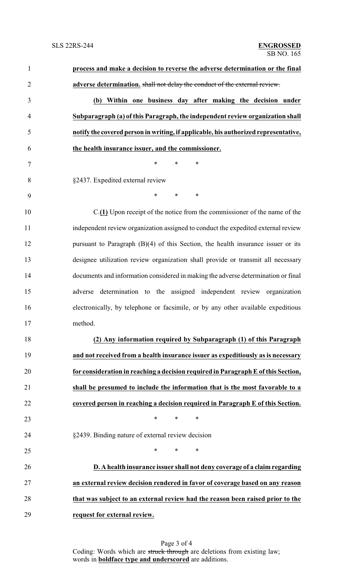| $\mathbf{1}$   | process and make a decision to reverse the adverse determination or the final          |
|----------------|----------------------------------------------------------------------------------------|
| $\overline{2}$ | adverse determination. shall not delay the conduct of the external review.             |
| 3              | (b) Within one business day after making the decision under                            |
| $\overline{4}$ | Subparagraph (a) of this Paragraph, the independent review organization shall          |
| 5              | notify the covered person in writing, if applicable, his authorized representative,    |
| 6              | the health insurance issuer, and the commissioner.                                     |
| 7              | $\ast$<br>$\ast$<br>$\ast$                                                             |
| 8              | §2437. Expedited external review                                                       |
| 9              | *<br>$\ast$<br>$\ast$                                                                  |
| 10             | $C(\underline{1})$ Upon receipt of the notice from the commissioner of the name of the |
| 11             | independent review organization assigned to conduct the expedited external review      |
| 12             | pursuant to Paragraph $(B)(4)$ of this Section, the health insurance issuer or its     |
| 13             | designee utilization review organization shall provide or transmit all necessary       |
| 14             | documents and information considered in making the adverse determination or final      |
| 15             | adverse determination to the assigned independent review organization                  |
| 16             | electronically, by telephone or facsimile, or by any other available expeditious       |
| 17             | method.                                                                                |
| 18             | (2) Any information required by Subparagraph (1) of this Paragraph                     |
| 19             | and not received from a health insurance issuer as expeditiously as is necessary       |
| 20             | for consideration in reaching a decision required in Paragraph E of this Section,      |
| 21             | shall be presumed to include the information that is the most favorable to a           |
| 22             | covered person in reaching a decision required in Paragraph E of this Section.         |
| 23             | $\ast$<br>$\ast$<br>∗                                                                  |
| 24             | §2439. Binding nature of external review decision                                      |
| 25             | *<br>$\ast$<br>∗                                                                       |
| 26             | D. A health insurance issuer shall not deny coverage of a claim regarding              |
| 27             | an external review decision rendered in favor of coverage based on any reason          |
| 28             | that was subject to an external review had the reason been raised prior to the         |
| 29             | request for external review.                                                           |